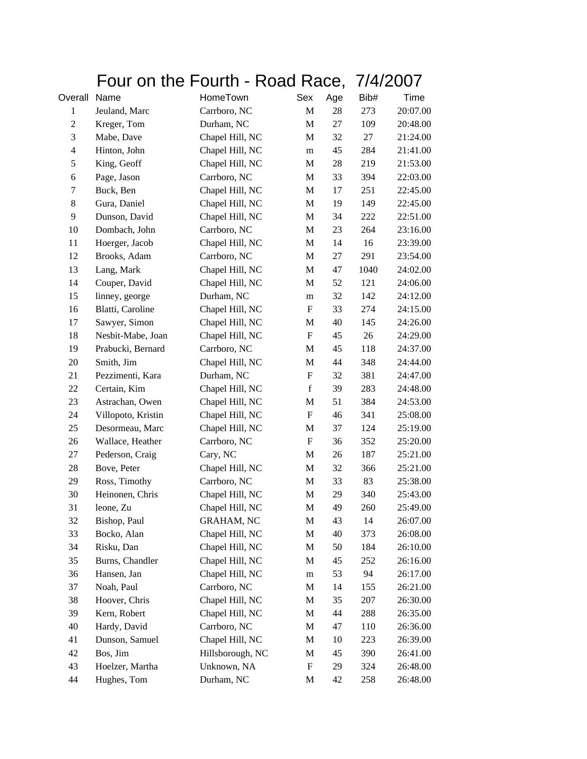|                  |                    | Four on the Fourth - Road Race, 7/4/2007 |                           |     |      |          |
|------------------|--------------------|------------------------------------------|---------------------------|-----|------|----------|
| Overall          | Name               | HomeTown                                 | Sex                       | Age | Bib# | Time     |
| $\mathbf{1}$     | Jeuland, Marc      | Carrboro, NC                             | $\mathbf M$               | 28  | 273  | 20:07.00 |
| $\boldsymbol{2}$ | Kreger, Tom        | Durham, NC                               | M                         | 27  | 109  | 20:48.00 |
| $\mathfrak{Z}$   | Mabe, Dave         | Chapel Hill, NC                          | M                         | 32  | 27   | 21:24.00 |
| $\overline{4}$   | Hinton, John       | Chapel Hill, NC                          | m                         | 45  | 284  | 21:41.00 |
| 5                | King, Geoff        | Chapel Hill, NC                          | M                         | 28  | 219  | 21:53.00 |
| 6                | Page, Jason        | Carrboro, NC                             | M                         | 33  | 394  | 22:03.00 |
| $\tau$           | Buck, Ben          | Chapel Hill, NC                          | $\mathbf M$               | 17  | 251  | 22:45.00 |
| $\,8\,$          | Gura, Daniel       | Chapel Hill, NC                          | $\mathbf M$               | 19  | 149  | 22:45.00 |
| 9                | Dunson, David      | Chapel Hill, NC                          | M                         | 34  | 222  | 22:51.00 |
| 10               | Dombach, John      | Carrboro, NC                             | M                         | 23  | 264  | 23:16.00 |
| 11               | Hoerger, Jacob     | Chapel Hill, NC                          | $\mathbf M$               | 14  | 16   | 23:39.00 |
| 12               | Brooks, Adam       | Carrboro, NC                             | M                         | 27  | 291  | 23:54.00 |
| 13               | Lang, Mark         | Chapel Hill, NC                          | M                         | 47  | 1040 | 24:02.00 |
| 14               | Couper, David      | Chapel Hill, NC                          | M                         | 52  | 121  | 24:06.00 |
| 15               | linney, george     | Durham, NC                               | m                         | 32  | 142  | 24:12.00 |
| 16               | Blatti, Caroline   | Chapel Hill, NC                          | F                         | 33  | 274  | 24:15.00 |
| 17               | Sawyer, Simon      | Chapel Hill, NC                          | M                         | 40  | 145  | 24:26.00 |
| 18               | Nesbit-Mabe, Joan  | Chapel Hill, NC                          | $\boldsymbol{\mathrm{F}}$ | 45  | 26   | 24:29.00 |
| 19               | Prabucki, Bernard  | Carrboro, NC                             | M                         | 45  | 118  | 24:37.00 |
| $20\,$           | Smith, Jim         | Chapel Hill, NC                          | $\mathbf M$               | 44  | 348  | 24:44.00 |
| 21               | Pezzimenti, Kara   | Durham, NC                               | $\boldsymbol{\mathrm{F}}$ | 32  | 381  | 24:47.00 |
| 22               | Certain, Kim       | Chapel Hill, NC                          | $\mathbf f$               | 39  | 283  | 24:48.00 |
| 23               | Astrachan, Owen    | Chapel Hill, NC                          | M                         | 51  | 384  | 24:53.00 |
| 24               | Villopoto, Kristin | Chapel Hill, NC                          | $\boldsymbol{\mathrm{F}}$ | 46  | 341  | 25:08.00 |
| 25               | Desormeau, Marc    | Chapel Hill, NC                          | M                         | 37  | 124  | 25:19.00 |
| 26               | Wallace, Heather   | Carrboro, NC                             | $\boldsymbol{\mathrm{F}}$ | 36  | 352  | 25:20.00 |
| 27               | Pederson, Craig    | Cary, NC                                 | $\mathbf M$               | 26  | 187  | 25:21.00 |
| $28\,$           | Bove, Peter        | Chapel Hill, NC                          | M                         | 32  | 366  | 25:21.00 |
| 29               | Ross, Timothy      | Carrboro, NC                             | M                         | 33  | 83   | 25:38.00 |
| 30               | Heinonen, Chris    | Chapel Hill, NC                          | M                         | 29  | 340  | 25:43.00 |
| 31               | leone, Zu          | Chapel Hill, NC                          | M                         | 49  | 260  | 25:49.00 |
| 32               | Bishop, Paul       | <b>GRAHAM, NC</b>                        | M                         | 43  | 14   | 26:07.00 |
| 33               | Bocko, Alan        | Chapel Hill, NC                          | M                         | 40  | 373  | 26:08.00 |
| 34               | Risku, Dan         | Chapel Hill, NC                          | M                         | 50  | 184  | 26:10.00 |
| 35               | Burns, Chandler    | Chapel Hill, NC                          | M                         | 45  | 252  | 26:16.00 |
| 36               | Hansen, Jan        | Chapel Hill, NC                          | ${\rm m}$                 | 53  | 94   | 26:17.00 |
| 37               | Noah, Paul         | Carrboro, NC                             | M                         | 14  | 155  | 26:21.00 |
| 38               | Hoover, Chris      | Chapel Hill, NC                          | M                         | 35  | 207  | 26:30.00 |
| 39               | Kern, Robert       | Chapel Hill, NC                          | M                         | 44  | 288  | 26:35.00 |
| 40               | Hardy, David       | Carrboro, NC                             | M                         | 47  | 110  | 26:36.00 |
| 41               | Dunson, Samuel     | Chapel Hill, NC                          | M                         | 10  | 223  | 26:39.00 |
| 42               | Bos, Jim           | Hillsborough, NC                         | M                         | 45  | 390  | 26:41.00 |
| 43               | Hoelzer, Martha    | Unknown, NA                              | $\boldsymbol{F}$          | 29  | 324  | 26:48.00 |
| 44               | Hughes, Tom        | Durham, NC                               | M                         | 42  | 258  | 26:48.00 |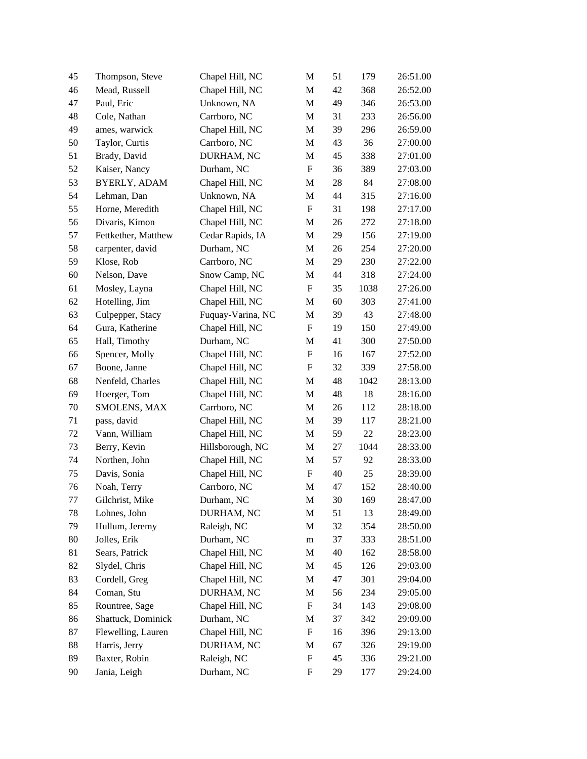| 45 | Thompson, Steve     | Chapel Hill, NC   | M                         | 51 | 179  | 26:51.00 |
|----|---------------------|-------------------|---------------------------|----|------|----------|
| 46 | Mead, Russell       | Chapel Hill, NC   | M                         | 42 | 368  | 26:52.00 |
| 47 | Paul, Eric          | Unknown, NA       | M                         | 49 | 346  | 26:53.00 |
| 48 | Cole, Nathan        | Carrboro, NC      | M                         | 31 | 233  | 26:56.00 |
| 49 | ames, warwick       | Chapel Hill, NC   | M                         | 39 | 296  | 26:59.00 |
| 50 | Taylor, Curtis      | Carrboro, NC      | M                         | 43 | 36   | 27:00.00 |
| 51 | Brady, David        | DURHAM, NC        | $\mathbf M$               | 45 | 338  | 27:01.00 |
| 52 | Kaiser, Nancy       | Durham, NC        | F                         | 36 | 389  | 27:03.00 |
| 53 | <b>BYERLY, ADAM</b> | Chapel Hill, NC   | M                         | 28 | 84   | 27:08.00 |
| 54 | Lehman, Dan         | Unknown, NA       | M                         | 44 | 315  | 27:16.00 |
| 55 | Horne, Meredith     | Chapel Hill, NC   | F                         | 31 | 198  | 27:17.00 |
| 56 | Divaris, Kimon      | Chapel Hill, NC   | M                         | 26 | 272  | 27:18.00 |
| 57 | Fettkether, Matthew | Cedar Rapids, IA  | M                         | 29 | 156  | 27:19.00 |
| 58 | carpenter, david    | Durham, NC        | M                         | 26 | 254  | 27:20.00 |
| 59 | Klose, Rob          | Carrboro, NC      | M                         | 29 | 230  | 27:22.00 |
| 60 | Nelson, Dave        | Snow Camp, NC     | M                         | 44 | 318  | 27:24.00 |
| 61 | Mosley, Layna       | Chapel Hill, NC   | $\boldsymbol{\mathrm{F}}$ | 35 | 1038 | 27:26.00 |
| 62 | Hotelling, Jim      | Chapel Hill, NC   | M                         | 60 | 303  | 27:41.00 |
| 63 | Culpepper, Stacy    | Fuquay-Varina, NC | M                         | 39 | 43   | 27:48.00 |
| 64 | Gura, Katherine     | Chapel Hill, NC   | $\boldsymbol{\mathrm{F}}$ | 19 | 150  | 27:49.00 |
| 65 | Hall, Timothy       | Durham, NC        | M                         | 41 | 300  | 27:50.00 |
| 66 | Spencer, Molly      | Chapel Hill, NC   | F                         | 16 | 167  | 27:52.00 |
| 67 | Boone, Janne        | Chapel Hill, NC   | F                         | 32 | 339  | 27:58.00 |
| 68 | Nenfeld, Charles    | Chapel Hill, NC   | M                         | 48 | 1042 | 28:13.00 |
| 69 | Hoerger, Tom        | Chapel Hill, NC   | M                         | 48 | 18   | 28:16.00 |
| 70 | SMOLENS, MAX        | Carrboro, NC      | M                         | 26 | 112  | 28:18.00 |
| 71 | pass, david         | Chapel Hill, NC   | M                         | 39 | 117  | 28:21.00 |
| 72 | Vann, William       | Chapel Hill, NC   | M                         | 59 | 22   | 28:23.00 |
| 73 | Berry, Kevin        | Hillsborough, NC  | M                         | 27 | 1044 | 28:33.00 |
| 74 | Northen, John       | Chapel Hill, NC   | M                         | 57 | 92   | 28:33.00 |
| 75 | Davis, Sonia        | Chapel Hill, NC   | F                         | 40 | 25   | 28:39.00 |
| 76 | Noah, Terry         | Carrboro, NC      | M                         | 47 | 152  | 28:40.00 |
| 77 | Gilchrist, Mike     | Durham, NC        | M                         | 30 | 169  | 28:47.00 |
| 78 | Lohnes, John        | DURHAM, NC        | M                         | 51 | 13   | 28:49.00 |
| 79 | Hullum, Jeremy      | Raleigh, NC       | M                         | 32 | 354  | 28:50.00 |
| 80 | Jolles, Erik        | Durham, NC        | ${\rm m}$                 | 37 | 333  | 28:51.00 |
| 81 | Sears, Patrick      | Chapel Hill, NC   | M                         | 40 | 162  | 28:58.00 |
| 82 | Slydel, Chris       | Chapel Hill, NC   | M                         | 45 | 126  | 29:03.00 |
| 83 | Cordell, Greg       | Chapel Hill, NC   | M                         | 47 | 301  | 29:04.00 |
| 84 | Coman, Stu          | DURHAM, NC        | M                         | 56 | 234  | 29:05.00 |
| 85 | Rountree, Sage      | Chapel Hill, NC   | $\boldsymbol{\mathrm{F}}$ | 34 | 143  | 29:08.00 |
| 86 | Shattuck, Dominick  | Durham, NC        | M                         | 37 | 342  | 29:09.00 |
| 87 | Flewelling, Lauren  | Chapel Hill, NC   | F                         | 16 | 396  | 29:13.00 |
| 88 | Harris, Jerry       | DURHAM, NC        | M                         | 67 | 326  | 29:19.00 |
| 89 | Baxter, Robin       | Raleigh, NC       | F                         | 45 | 336  | 29:21.00 |
| 90 | Jania, Leigh        | Durham, NC        | F                         | 29 | 177  | 29:24.00 |
|    |                     |                   |                           |    |      |          |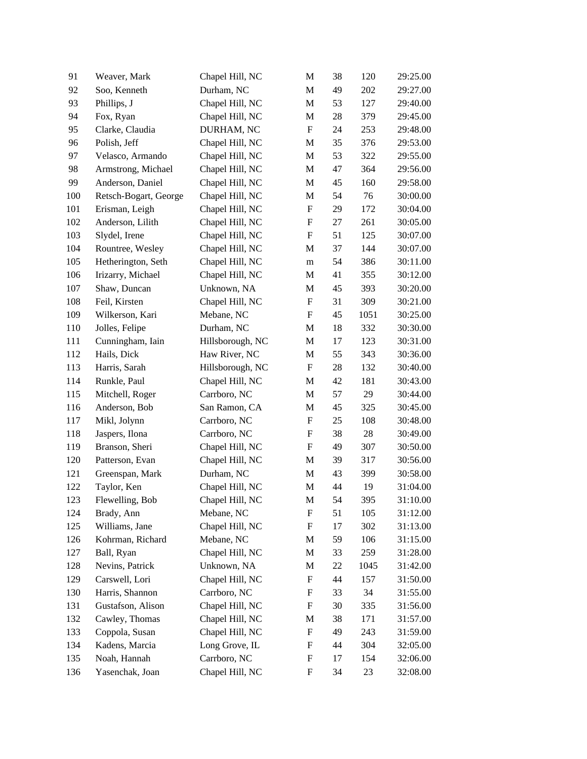| 91  | Weaver, Mark          | Chapel Hill, NC  | M                         | 38   | 120  | 29:25.00 |
|-----|-----------------------|------------------|---------------------------|------|------|----------|
| 92  | Soo, Kenneth          | Durham, NC       | M                         | 49   | 202  | 29:27.00 |
| 93  | Phillips, J           | Chapel Hill, NC  | M                         | 53   | 127  | 29:40.00 |
| 94  | Fox, Ryan             | Chapel Hill, NC  | M                         | 28   | 379  | 29:45.00 |
| 95  | Clarke, Claudia       | DURHAM, NC       | $\boldsymbol{\mathrm{F}}$ | 24   | 253  | 29:48.00 |
| 96  | Polish, Jeff          | Chapel Hill, NC  | M                         | 35   | 376  | 29:53.00 |
| 97  | Velasco, Armando      | Chapel Hill, NC  | $\mathbf M$               | 53   | 322  | 29:55.00 |
| 98  | Armstrong, Michael    | Chapel Hill, NC  | M                         | 47   | 364  | 29:56.00 |
| 99  | Anderson, Daniel      | Chapel Hill, NC  | M                         | 45   | 160  | 29:58.00 |
| 100 | Retsch-Bogart, George | Chapel Hill, NC  | M                         | 54   | 76   | 30:00.00 |
| 101 | Erisman, Leigh        | Chapel Hill, NC  | F                         | 29   | 172  | 30:04.00 |
| 102 | Anderson, Lilith      | Chapel Hill, NC  | F                         | 27   | 261  | 30:05.00 |
| 103 | Slydel, Irene         | Chapel Hill, NC  | $\boldsymbol{\mathrm{F}}$ | 51   | 125  | 30:07.00 |
| 104 | Rountree, Wesley      | Chapel Hill, NC  | M                         | 37   | 144  | 30:07.00 |
| 105 | Hetherington, Seth    | Chapel Hill, NC  | m                         | 54   | 386  | 30:11.00 |
| 106 | Irizarry, Michael     | Chapel Hill, NC  | M                         | 41   | 355  | 30:12.00 |
| 107 | Shaw, Duncan          | Unknown, NA      | M                         | 45   | 393  | 30:20.00 |
| 108 | Feil, Kirsten         | Chapel Hill, NC  | $\boldsymbol{\mathrm{F}}$ | 31   | 309  | 30:21.00 |
| 109 | Wilkerson, Kari       | Mebane, NC       | $\boldsymbol{\mathrm{F}}$ | 45   | 1051 | 30:25.00 |
| 110 | Jolles, Felipe        | Durham, NC       | $\mathbf M$               | 18   | 332  | 30:30.00 |
| 111 | Cunningham, Iain      | Hillsborough, NC | M                         | 17   | 123  | 30:31.00 |
| 112 | Hails, Dick           | Haw River, NC    | M                         | 55   | 343  | 30:36.00 |
| 113 | Harris, Sarah         | Hillsborough, NC | $\boldsymbol{\mathrm{F}}$ | 28   | 132  | 30:40.00 |
| 114 | Runkle, Paul          | Chapel Hill, NC  | M                         | 42   | 181  | 30:43.00 |
| 115 | Mitchell, Roger       | Carrboro, NC     | M                         | 57   | 29   | 30:44.00 |
| 116 | Anderson, Bob         | San Ramon, CA    | M                         | 45   | 325  | 30:45.00 |
| 117 | Mikl, Jolynn          | Carrboro, NC     | $\boldsymbol{\mathrm{F}}$ | 25   | 108  | 30:48.00 |
| 118 | Jaspers, Ilona        | Carrboro, NC     | F                         | 38   | 28   | 30:49.00 |
| 119 | Branson, Sheri        | Chapel Hill, NC  | F                         | 49   | 307  | 30:50.00 |
| 120 | Patterson, Evan       | Chapel Hill, NC  | M                         | 39   | 317  | 30:56.00 |
| 121 | Greenspan, Mark       | Durham, NC       | M                         | 43   | 399  | 30:58.00 |
| 122 | Taylor, Ken           | Chapel Hill, NC  | M                         | $44$ | 19   | 31:04.00 |
| 123 | Flewelling, Bob       | Chapel Hill, NC  | M                         | 54   | 395  | 31:10.00 |
| 124 | Brady, Ann            | Mebane, NC       | F                         | 51   | 105  | 31:12.00 |
| 125 | Williams, Jane        | Chapel Hill, NC  | F                         | 17   | 302  | 31:13.00 |
| 126 | Kohrman, Richard      | Mebane, NC       | M                         | 59   | 106  | 31:15.00 |
| 127 | Ball, Ryan            | Chapel Hill, NC  | M                         | 33   | 259  | 31:28.00 |
| 128 | Nevins, Patrick       | Unknown, NA      | M                         | 22   | 1045 | 31:42.00 |
| 129 | Carswell, Lori        | Chapel Hill, NC  | F                         | 44   | 157  | 31:50.00 |
| 130 | Harris, Shannon       | Carrboro, NC     | F                         | 33   | 34   | 31:55.00 |
| 131 | Gustafson, Alison     | Chapel Hill, NC  | F                         | 30   | 335  | 31:56.00 |
| 132 | Cawley, Thomas        | Chapel Hill, NC  | M                         | 38   | 171  | 31:57.00 |
| 133 | Coppola, Susan        | Chapel Hill, NC  | F                         | 49   | 243  | 31:59.00 |
| 134 | Kadens, Marcia        | Long Grove, IL   | F                         | 44   | 304  | 32:05.00 |
| 135 | Noah, Hannah          | Carrboro, NC     | F                         | 17   | 154  | 32:06.00 |
| 136 | Yasenchak, Joan       | Chapel Hill, NC  | F                         | 34   | 23   | 32:08.00 |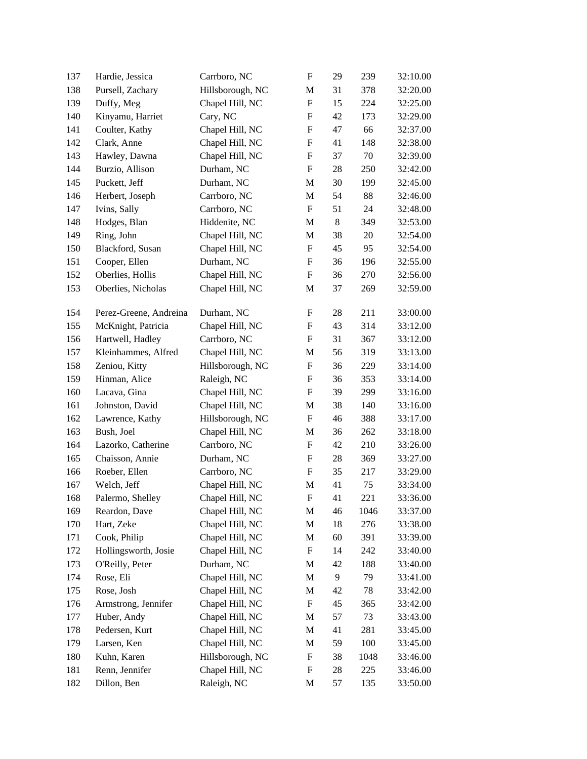| 137 | Hardie, Jessica        | Carrboro, NC     | $\boldsymbol{\mathrm{F}}$ | 29     | 239    | 32:10.00 |
|-----|------------------------|------------------|---------------------------|--------|--------|----------|
| 138 | Pursell, Zachary       | Hillsborough, NC | M                         | 31     | 378    | 32:20.00 |
| 139 | Duffy, Meg             | Chapel Hill, NC  | $\boldsymbol{\mathrm{F}}$ | 15     | 224    | 32:25.00 |
| 140 | Kinyamu, Harriet       | Cary, NC         | F                         | 42     | 173    | 32:29.00 |
| 141 | Coulter, Kathy         | Chapel Hill, NC  | $\boldsymbol{\mathrm{F}}$ | 47     | 66     | 32:37.00 |
| 142 | Clark, Anne            | Chapel Hill, NC  | $\boldsymbol{\mathrm{F}}$ | 41     | 148    | 32:38.00 |
| 143 | Hawley, Dawna          | Chapel Hill, NC  | $\boldsymbol{\mathrm{F}}$ | 37     | 70     | 32:39.00 |
| 144 | Burzio, Allison        | Durham, NC       | F                         | 28     | 250    | 32:42.00 |
| 145 | Puckett, Jeff          | Durham, NC       | M                         | 30     | 199    | 32:45.00 |
| 146 | Herbert, Joseph        | Carrboro, NC     | M                         | 54     | 88     | 32:46.00 |
| 147 | Ivins, Sally           | Carrboro, NC     | $\boldsymbol{\mathrm{F}}$ | 51     | 24     | 32:48.00 |
| 148 | Hodges, Blan           | Hiddenite, NC    | M                         | $\,8$  | 349    | 32:53.00 |
| 149 | Ring, John             | Chapel Hill, NC  | M                         | 38     | $20\,$ | 32:54.00 |
| 150 | Blackford, Susan       | Chapel Hill, NC  | $\boldsymbol{\mathrm{F}}$ | 45     | 95     | 32:54.00 |
| 151 | Cooper, Ellen          | Durham, NC       | F                         | 36     | 196    | 32:55.00 |
| 152 | Oberlies, Hollis       | Chapel Hill, NC  | $\boldsymbol{F}$          | 36     | 270    | 32:56.00 |
| 153 | Oberlies, Nicholas     | Chapel Hill, NC  | M                         | 37     | 269    | 32:59.00 |
| 154 | Perez-Greene, Andreina | Durham, NC       | F                         | $28\,$ | 211    | 33:00.00 |
| 155 | McKnight, Patricia     | Chapel Hill, NC  | F                         | 43     | 314    | 33:12.00 |
| 156 | Hartwell, Hadley       | Carrboro, NC     | $\boldsymbol{\mathrm{F}}$ | 31     | 367    | 33:12.00 |
| 157 | Kleinhammes, Alfred    | Chapel Hill, NC  | M                         | 56     | 319    | 33:13.00 |
| 158 | Zeniou, Kitty          | Hillsborough, NC | F                         | 36     | 229    | 33:14.00 |
| 159 | Hinman, Alice          | Raleigh, NC      | F                         | 36     | 353    | 33:14.00 |
| 160 | Lacava, Gina           | Chapel Hill, NC  | F                         | 39     | 299    | 33:16.00 |
| 161 | Johnston, David        | Chapel Hill, NC  | M                         | 38     | 140    | 33:16.00 |
| 162 | Lawrence, Kathy        | Hillsborough, NC | F                         | 46     | 388    | 33:17.00 |
| 163 | Bush, Joel             | Chapel Hill, NC  | M                         | 36     | 262    | 33:18.00 |
| 164 | Lazorko, Catherine     | Carrboro, NC     | F                         | 42     | 210    | 33:26.00 |
| 165 | Chaisson, Annie        | Durham, NC       | F                         | 28     | 369    | 33:27.00 |
| 166 | Roeber, Ellen          | Carrboro, NC     | F                         | 35     | 217    | 33:29.00 |
| 167 | Welch, Jeff            | Chapel Hill, NC  | $\mathbf{M}$              | 41     | 75     | 33:34.00 |
| 168 | Palermo, Shelley       | Chapel Hill, NC  | F                         | 41     | 221    | 33:36.00 |
| 169 | Reardon, Dave          | Chapel Hill, NC  | M                         | 46     | 1046   | 33:37.00 |
| 170 | Hart, Zeke             | Chapel Hill, NC  | $\mathbf M$               | 18     | 276    | 33:38.00 |
| 171 | Cook, Philip           | Chapel Hill, NC  | M                         | 60     | 391    | 33:39.00 |
| 172 | Hollingsworth, Josie   | Chapel Hill, NC  | $\boldsymbol{\mathrm{F}}$ | 14     | 242    | 33:40.00 |
| 173 | O'Reilly, Peter        | Durham, NC       | M                         | 42     | 188    | 33:40.00 |
| 174 | Rose, Eli              | Chapel Hill, NC  | M                         | 9      | 79     | 33:41.00 |
| 175 | Rose, Josh             | Chapel Hill, NC  | M                         | 42     | 78     | 33:42.00 |
| 176 | Armstrong, Jennifer    | Chapel Hill, NC  | $\boldsymbol{\mathrm{F}}$ | 45     | 365    | 33:42.00 |
| 177 | Huber, Andy            | Chapel Hill, NC  | M                         | 57     | 73     | 33:43.00 |
| 178 | Pedersen, Kurt         | Chapel Hill, NC  | M                         | 41     | 281    | 33:45.00 |
| 179 | Larsen, Ken            | Chapel Hill, NC  | M                         | 59     | 100    | 33:45.00 |
| 180 | Kuhn, Karen            | Hillsborough, NC | F                         | 38     | 1048   | 33:46.00 |
| 181 | Renn, Jennifer         | Chapel Hill, NC  | F                         | 28     | 225    | 33:46.00 |
| 182 | Dillon, Ben            | Raleigh, NC      | M                         | 57     | 135    | 33:50.00 |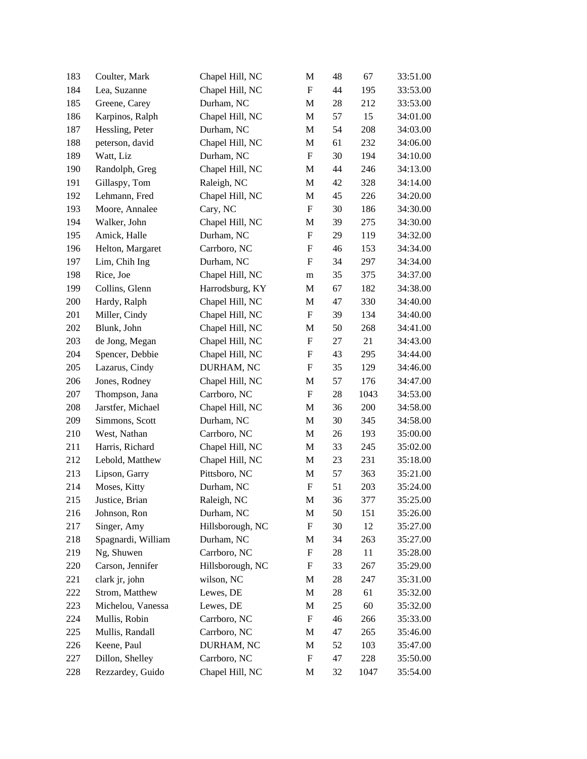| 184<br>Chapel Hill, NC<br>$\boldsymbol{\mathrm{F}}$<br>44<br>195<br>Lea, Suzanne<br>Durham, NC<br>28<br>185<br>Greene, Carey<br>M<br>212<br>186<br>Karpinos, Ralph<br>Chapel Hill, NC<br>M<br>57<br>15<br>187<br>Hessling, Peter<br>Durham, NC<br>54<br>M<br>208<br>Chapel Hill, NC<br>61<br>232<br>188<br>peterson, david<br>M<br>189<br>Watt, Liz<br>Durham, NC<br>$\boldsymbol{\mathrm{F}}$<br>30<br>194<br>44<br>190<br>Randolph, Greg<br>Chapel Hill, NC<br>246<br>М<br>Raleigh, NC<br>42<br>328<br>191<br>Gillaspy, Tom<br>M<br>192<br>Lehmann, Fred<br>Chapel Hill, NC<br>45<br>226<br>M<br>Moore, Annalee<br>Cary, NC<br>$\boldsymbol{\mathrm{F}}$<br>30<br>193<br>186<br>194<br>Walker, John<br>39<br>275<br>Chapel Hill, NC<br>M<br>195<br>Amick, Halle<br>Durham, NC<br>$\boldsymbol{\mathrm{F}}$<br>29<br>119<br>196<br>Helton, Margaret<br>Carrboro, NC<br>$\boldsymbol{\mathrm{F}}$<br>46<br>153<br>Lim, Chih Ing<br>Durham, NC<br>34<br>297<br>197<br>F<br>Rice, Joe<br>Chapel Hill, NC<br>35<br>375<br>198<br>m<br>199<br>Collins, Glenn<br>Harrodsburg, KY<br>M<br>67<br>182<br>200<br>Chapel Hill, NC<br>47<br>Hardy, Ralph<br>M<br>330<br>201<br>Miller, Cindy<br>Chapel Hill, NC<br>$\boldsymbol{\mathrm{F}}$<br>134<br>39<br>202<br>Blunk, John<br>Chapel Hill, NC<br>50<br>M<br>268<br>203<br>Chapel Hill, NC<br>$\boldsymbol{\mathrm{F}}$<br>27<br>21<br>de Jong, Megan<br>Spencer, Debbie<br>43<br>204<br>Chapel Hill, NC<br>F<br>295<br>205<br>DURHAM, NC<br>35<br>129<br>Lazarus, Cindy<br>F<br>206<br>Jones, Rodney<br>57<br>Chapel Hill, NC<br>M<br>176<br>Thompson, Jana<br>Carrboro, NC<br>$\boldsymbol{\mathrm{F}}$<br>28<br>207<br>200<br>208<br>Jarstfer, Michael<br>Chapel Hill, NC<br>M<br>36<br>209<br>Simmons, Scott<br>Durham, NC<br>M<br>30<br>345<br>210<br>West, Nathan<br>Carrboro, NC<br>M<br>26<br>193<br>211<br>Harris, Richard<br>Chapel Hill, NC<br>M<br>33<br>245<br>212<br>Lebold, Matthew<br>Chapel Hill, NC<br>231<br>M<br>23<br>213<br>Pittsboro, NC<br>Lipson, Garry<br>M<br>57<br>363<br>51<br>214<br>Moses, Kitty<br>Durham, NC<br>$\boldsymbol{\mathrm{F}}$<br>203<br>377<br>215<br>Raleigh, NC<br>36<br>Justice, Brian<br>M<br>Durham, NC<br>151<br>216<br>Johnson, Ron<br>M<br>50<br>Hillsborough, NC<br>12<br>217<br>Singer, Amy<br>F<br>30<br>Durham, NC<br>218<br>Spagnardi, William<br>M<br>34<br>263<br>219<br>$\boldsymbol{\mathrm{F}}$<br>Ng, Shuwen<br>Carrboro, NC<br>28<br>11<br>220<br>Carson, Jennifer<br>Hillsborough, NC<br>F<br>33<br>267<br>clark jr, john<br>wilson, NC<br>221<br>28<br>247<br>M<br>Strom, Matthew<br>222<br>Lewes, DE<br>M<br>28<br>61<br>Michelou, Vanessa<br>223<br>Lewes, DE<br>25<br>60<br>M<br>Carrboro, NC<br>224<br>Mullis, Robin<br>F<br>46<br>266<br>Carrboro, NC<br>47<br>225<br>Mullis, Randall<br>265<br>M<br>Keene, Paul<br>226<br>DURHAM, NC<br>M<br>52<br>103<br>Dillon, Shelley<br>Carrboro, NC<br>227<br>F<br>47<br>228 | 183 | Coulter, Mark    | Chapel Hill, NC | M | 48 | 67   | 33:51.00 |
|--------------------------------------------------------------------------------------------------------------------------------------------------------------------------------------------------------------------------------------------------------------------------------------------------------------------------------------------------------------------------------------------------------------------------------------------------------------------------------------------------------------------------------------------------------------------------------------------------------------------------------------------------------------------------------------------------------------------------------------------------------------------------------------------------------------------------------------------------------------------------------------------------------------------------------------------------------------------------------------------------------------------------------------------------------------------------------------------------------------------------------------------------------------------------------------------------------------------------------------------------------------------------------------------------------------------------------------------------------------------------------------------------------------------------------------------------------------------------------------------------------------------------------------------------------------------------------------------------------------------------------------------------------------------------------------------------------------------------------------------------------------------------------------------------------------------------------------------------------------------------------------------------------------------------------------------------------------------------------------------------------------------------------------------------------------------------------------------------------------------------------------------------------------------------------------------------------------------------------------------------------------------------------------------------------------------------------------------------------------------------------------------------------------------------------------------------------------------------------------------------------------------------------------------------------------------------------------------------------------------------------------------------------------------------------------------------------------------------------------------------------------------------------------------------------------------------------------------------------------------------------------------------------------------------------------|-----|------------------|-----------------|---|----|------|----------|
|                                                                                                                                                                                                                                                                                                                                                                                                                                                                                                                                                                                                                                                                                                                                                                                                                                                                                                                                                                                                                                                                                                                                                                                                                                                                                                                                                                                                                                                                                                                                                                                                                                                                                                                                                                                                                                                                                                                                                                                                                                                                                                                                                                                                                                                                                                                                                                                                                                                                                                                                                                                                                                                                                                                                                                                                                                                                                                                                      |     |                  |                 |   |    |      | 33:53.00 |
|                                                                                                                                                                                                                                                                                                                                                                                                                                                                                                                                                                                                                                                                                                                                                                                                                                                                                                                                                                                                                                                                                                                                                                                                                                                                                                                                                                                                                                                                                                                                                                                                                                                                                                                                                                                                                                                                                                                                                                                                                                                                                                                                                                                                                                                                                                                                                                                                                                                                                                                                                                                                                                                                                                                                                                                                                                                                                                                                      |     |                  |                 |   |    |      | 33:53.00 |
|                                                                                                                                                                                                                                                                                                                                                                                                                                                                                                                                                                                                                                                                                                                                                                                                                                                                                                                                                                                                                                                                                                                                                                                                                                                                                                                                                                                                                                                                                                                                                                                                                                                                                                                                                                                                                                                                                                                                                                                                                                                                                                                                                                                                                                                                                                                                                                                                                                                                                                                                                                                                                                                                                                                                                                                                                                                                                                                                      |     |                  |                 |   |    |      | 34:01.00 |
|                                                                                                                                                                                                                                                                                                                                                                                                                                                                                                                                                                                                                                                                                                                                                                                                                                                                                                                                                                                                                                                                                                                                                                                                                                                                                                                                                                                                                                                                                                                                                                                                                                                                                                                                                                                                                                                                                                                                                                                                                                                                                                                                                                                                                                                                                                                                                                                                                                                                                                                                                                                                                                                                                                                                                                                                                                                                                                                                      |     |                  |                 |   |    |      | 34:03.00 |
|                                                                                                                                                                                                                                                                                                                                                                                                                                                                                                                                                                                                                                                                                                                                                                                                                                                                                                                                                                                                                                                                                                                                                                                                                                                                                                                                                                                                                                                                                                                                                                                                                                                                                                                                                                                                                                                                                                                                                                                                                                                                                                                                                                                                                                                                                                                                                                                                                                                                                                                                                                                                                                                                                                                                                                                                                                                                                                                                      |     |                  |                 |   |    |      | 34:06.00 |
|                                                                                                                                                                                                                                                                                                                                                                                                                                                                                                                                                                                                                                                                                                                                                                                                                                                                                                                                                                                                                                                                                                                                                                                                                                                                                                                                                                                                                                                                                                                                                                                                                                                                                                                                                                                                                                                                                                                                                                                                                                                                                                                                                                                                                                                                                                                                                                                                                                                                                                                                                                                                                                                                                                                                                                                                                                                                                                                                      |     |                  |                 |   |    |      | 34:10.00 |
|                                                                                                                                                                                                                                                                                                                                                                                                                                                                                                                                                                                                                                                                                                                                                                                                                                                                                                                                                                                                                                                                                                                                                                                                                                                                                                                                                                                                                                                                                                                                                                                                                                                                                                                                                                                                                                                                                                                                                                                                                                                                                                                                                                                                                                                                                                                                                                                                                                                                                                                                                                                                                                                                                                                                                                                                                                                                                                                                      |     |                  |                 |   |    |      | 34:13.00 |
|                                                                                                                                                                                                                                                                                                                                                                                                                                                                                                                                                                                                                                                                                                                                                                                                                                                                                                                                                                                                                                                                                                                                                                                                                                                                                                                                                                                                                                                                                                                                                                                                                                                                                                                                                                                                                                                                                                                                                                                                                                                                                                                                                                                                                                                                                                                                                                                                                                                                                                                                                                                                                                                                                                                                                                                                                                                                                                                                      |     |                  |                 |   |    |      | 34:14.00 |
|                                                                                                                                                                                                                                                                                                                                                                                                                                                                                                                                                                                                                                                                                                                                                                                                                                                                                                                                                                                                                                                                                                                                                                                                                                                                                                                                                                                                                                                                                                                                                                                                                                                                                                                                                                                                                                                                                                                                                                                                                                                                                                                                                                                                                                                                                                                                                                                                                                                                                                                                                                                                                                                                                                                                                                                                                                                                                                                                      |     |                  |                 |   |    |      | 34:20.00 |
|                                                                                                                                                                                                                                                                                                                                                                                                                                                                                                                                                                                                                                                                                                                                                                                                                                                                                                                                                                                                                                                                                                                                                                                                                                                                                                                                                                                                                                                                                                                                                                                                                                                                                                                                                                                                                                                                                                                                                                                                                                                                                                                                                                                                                                                                                                                                                                                                                                                                                                                                                                                                                                                                                                                                                                                                                                                                                                                                      |     |                  |                 |   |    |      | 34:30.00 |
|                                                                                                                                                                                                                                                                                                                                                                                                                                                                                                                                                                                                                                                                                                                                                                                                                                                                                                                                                                                                                                                                                                                                                                                                                                                                                                                                                                                                                                                                                                                                                                                                                                                                                                                                                                                                                                                                                                                                                                                                                                                                                                                                                                                                                                                                                                                                                                                                                                                                                                                                                                                                                                                                                                                                                                                                                                                                                                                                      |     |                  |                 |   |    |      | 34:30.00 |
|                                                                                                                                                                                                                                                                                                                                                                                                                                                                                                                                                                                                                                                                                                                                                                                                                                                                                                                                                                                                                                                                                                                                                                                                                                                                                                                                                                                                                                                                                                                                                                                                                                                                                                                                                                                                                                                                                                                                                                                                                                                                                                                                                                                                                                                                                                                                                                                                                                                                                                                                                                                                                                                                                                                                                                                                                                                                                                                                      |     |                  |                 |   |    |      | 34:32.00 |
|                                                                                                                                                                                                                                                                                                                                                                                                                                                                                                                                                                                                                                                                                                                                                                                                                                                                                                                                                                                                                                                                                                                                                                                                                                                                                                                                                                                                                                                                                                                                                                                                                                                                                                                                                                                                                                                                                                                                                                                                                                                                                                                                                                                                                                                                                                                                                                                                                                                                                                                                                                                                                                                                                                                                                                                                                                                                                                                                      |     |                  |                 |   |    |      | 34:34.00 |
|                                                                                                                                                                                                                                                                                                                                                                                                                                                                                                                                                                                                                                                                                                                                                                                                                                                                                                                                                                                                                                                                                                                                                                                                                                                                                                                                                                                                                                                                                                                                                                                                                                                                                                                                                                                                                                                                                                                                                                                                                                                                                                                                                                                                                                                                                                                                                                                                                                                                                                                                                                                                                                                                                                                                                                                                                                                                                                                                      |     |                  |                 |   |    |      | 34:34.00 |
|                                                                                                                                                                                                                                                                                                                                                                                                                                                                                                                                                                                                                                                                                                                                                                                                                                                                                                                                                                                                                                                                                                                                                                                                                                                                                                                                                                                                                                                                                                                                                                                                                                                                                                                                                                                                                                                                                                                                                                                                                                                                                                                                                                                                                                                                                                                                                                                                                                                                                                                                                                                                                                                                                                                                                                                                                                                                                                                                      |     |                  |                 |   |    |      | 34:37.00 |
|                                                                                                                                                                                                                                                                                                                                                                                                                                                                                                                                                                                                                                                                                                                                                                                                                                                                                                                                                                                                                                                                                                                                                                                                                                                                                                                                                                                                                                                                                                                                                                                                                                                                                                                                                                                                                                                                                                                                                                                                                                                                                                                                                                                                                                                                                                                                                                                                                                                                                                                                                                                                                                                                                                                                                                                                                                                                                                                                      |     |                  |                 |   |    |      | 34:38.00 |
|                                                                                                                                                                                                                                                                                                                                                                                                                                                                                                                                                                                                                                                                                                                                                                                                                                                                                                                                                                                                                                                                                                                                                                                                                                                                                                                                                                                                                                                                                                                                                                                                                                                                                                                                                                                                                                                                                                                                                                                                                                                                                                                                                                                                                                                                                                                                                                                                                                                                                                                                                                                                                                                                                                                                                                                                                                                                                                                                      |     |                  |                 |   |    |      | 34:40.00 |
|                                                                                                                                                                                                                                                                                                                                                                                                                                                                                                                                                                                                                                                                                                                                                                                                                                                                                                                                                                                                                                                                                                                                                                                                                                                                                                                                                                                                                                                                                                                                                                                                                                                                                                                                                                                                                                                                                                                                                                                                                                                                                                                                                                                                                                                                                                                                                                                                                                                                                                                                                                                                                                                                                                                                                                                                                                                                                                                                      |     |                  |                 |   |    |      | 34:40.00 |
|                                                                                                                                                                                                                                                                                                                                                                                                                                                                                                                                                                                                                                                                                                                                                                                                                                                                                                                                                                                                                                                                                                                                                                                                                                                                                                                                                                                                                                                                                                                                                                                                                                                                                                                                                                                                                                                                                                                                                                                                                                                                                                                                                                                                                                                                                                                                                                                                                                                                                                                                                                                                                                                                                                                                                                                                                                                                                                                                      |     |                  |                 |   |    |      | 34:41.00 |
|                                                                                                                                                                                                                                                                                                                                                                                                                                                                                                                                                                                                                                                                                                                                                                                                                                                                                                                                                                                                                                                                                                                                                                                                                                                                                                                                                                                                                                                                                                                                                                                                                                                                                                                                                                                                                                                                                                                                                                                                                                                                                                                                                                                                                                                                                                                                                                                                                                                                                                                                                                                                                                                                                                                                                                                                                                                                                                                                      |     |                  |                 |   |    |      | 34:43.00 |
|                                                                                                                                                                                                                                                                                                                                                                                                                                                                                                                                                                                                                                                                                                                                                                                                                                                                                                                                                                                                                                                                                                                                                                                                                                                                                                                                                                                                                                                                                                                                                                                                                                                                                                                                                                                                                                                                                                                                                                                                                                                                                                                                                                                                                                                                                                                                                                                                                                                                                                                                                                                                                                                                                                                                                                                                                                                                                                                                      |     |                  |                 |   |    |      | 34:44.00 |
|                                                                                                                                                                                                                                                                                                                                                                                                                                                                                                                                                                                                                                                                                                                                                                                                                                                                                                                                                                                                                                                                                                                                                                                                                                                                                                                                                                                                                                                                                                                                                                                                                                                                                                                                                                                                                                                                                                                                                                                                                                                                                                                                                                                                                                                                                                                                                                                                                                                                                                                                                                                                                                                                                                                                                                                                                                                                                                                                      |     |                  |                 |   |    |      | 34:46.00 |
|                                                                                                                                                                                                                                                                                                                                                                                                                                                                                                                                                                                                                                                                                                                                                                                                                                                                                                                                                                                                                                                                                                                                                                                                                                                                                                                                                                                                                                                                                                                                                                                                                                                                                                                                                                                                                                                                                                                                                                                                                                                                                                                                                                                                                                                                                                                                                                                                                                                                                                                                                                                                                                                                                                                                                                                                                                                                                                                                      |     |                  |                 |   |    |      | 34:47.00 |
|                                                                                                                                                                                                                                                                                                                                                                                                                                                                                                                                                                                                                                                                                                                                                                                                                                                                                                                                                                                                                                                                                                                                                                                                                                                                                                                                                                                                                                                                                                                                                                                                                                                                                                                                                                                                                                                                                                                                                                                                                                                                                                                                                                                                                                                                                                                                                                                                                                                                                                                                                                                                                                                                                                                                                                                                                                                                                                                                      |     |                  |                 |   |    | 1043 | 34:53.00 |
|                                                                                                                                                                                                                                                                                                                                                                                                                                                                                                                                                                                                                                                                                                                                                                                                                                                                                                                                                                                                                                                                                                                                                                                                                                                                                                                                                                                                                                                                                                                                                                                                                                                                                                                                                                                                                                                                                                                                                                                                                                                                                                                                                                                                                                                                                                                                                                                                                                                                                                                                                                                                                                                                                                                                                                                                                                                                                                                                      |     |                  |                 |   |    |      | 34:58.00 |
|                                                                                                                                                                                                                                                                                                                                                                                                                                                                                                                                                                                                                                                                                                                                                                                                                                                                                                                                                                                                                                                                                                                                                                                                                                                                                                                                                                                                                                                                                                                                                                                                                                                                                                                                                                                                                                                                                                                                                                                                                                                                                                                                                                                                                                                                                                                                                                                                                                                                                                                                                                                                                                                                                                                                                                                                                                                                                                                                      |     |                  |                 |   |    |      | 34:58.00 |
|                                                                                                                                                                                                                                                                                                                                                                                                                                                                                                                                                                                                                                                                                                                                                                                                                                                                                                                                                                                                                                                                                                                                                                                                                                                                                                                                                                                                                                                                                                                                                                                                                                                                                                                                                                                                                                                                                                                                                                                                                                                                                                                                                                                                                                                                                                                                                                                                                                                                                                                                                                                                                                                                                                                                                                                                                                                                                                                                      |     |                  |                 |   |    |      | 35:00.00 |
|                                                                                                                                                                                                                                                                                                                                                                                                                                                                                                                                                                                                                                                                                                                                                                                                                                                                                                                                                                                                                                                                                                                                                                                                                                                                                                                                                                                                                                                                                                                                                                                                                                                                                                                                                                                                                                                                                                                                                                                                                                                                                                                                                                                                                                                                                                                                                                                                                                                                                                                                                                                                                                                                                                                                                                                                                                                                                                                                      |     |                  |                 |   |    |      | 35:02.00 |
|                                                                                                                                                                                                                                                                                                                                                                                                                                                                                                                                                                                                                                                                                                                                                                                                                                                                                                                                                                                                                                                                                                                                                                                                                                                                                                                                                                                                                                                                                                                                                                                                                                                                                                                                                                                                                                                                                                                                                                                                                                                                                                                                                                                                                                                                                                                                                                                                                                                                                                                                                                                                                                                                                                                                                                                                                                                                                                                                      |     |                  |                 |   |    |      | 35:18.00 |
|                                                                                                                                                                                                                                                                                                                                                                                                                                                                                                                                                                                                                                                                                                                                                                                                                                                                                                                                                                                                                                                                                                                                                                                                                                                                                                                                                                                                                                                                                                                                                                                                                                                                                                                                                                                                                                                                                                                                                                                                                                                                                                                                                                                                                                                                                                                                                                                                                                                                                                                                                                                                                                                                                                                                                                                                                                                                                                                                      |     |                  |                 |   |    |      | 35:21.00 |
|                                                                                                                                                                                                                                                                                                                                                                                                                                                                                                                                                                                                                                                                                                                                                                                                                                                                                                                                                                                                                                                                                                                                                                                                                                                                                                                                                                                                                                                                                                                                                                                                                                                                                                                                                                                                                                                                                                                                                                                                                                                                                                                                                                                                                                                                                                                                                                                                                                                                                                                                                                                                                                                                                                                                                                                                                                                                                                                                      |     |                  |                 |   |    |      | 35:24.00 |
|                                                                                                                                                                                                                                                                                                                                                                                                                                                                                                                                                                                                                                                                                                                                                                                                                                                                                                                                                                                                                                                                                                                                                                                                                                                                                                                                                                                                                                                                                                                                                                                                                                                                                                                                                                                                                                                                                                                                                                                                                                                                                                                                                                                                                                                                                                                                                                                                                                                                                                                                                                                                                                                                                                                                                                                                                                                                                                                                      |     |                  |                 |   |    |      | 35:25.00 |
|                                                                                                                                                                                                                                                                                                                                                                                                                                                                                                                                                                                                                                                                                                                                                                                                                                                                                                                                                                                                                                                                                                                                                                                                                                                                                                                                                                                                                                                                                                                                                                                                                                                                                                                                                                                                                                                                                                                                                                                                                                                                                                                                                                                                                                                                                                                                                                                                                                                                                                                                                                                                                                                                                                                                                                                                                                                                                                                                      |     |                  |                 |   |    |      | 35:26.00 |
|                                                                                                                                                                                                                                                                                                                                                                                                                                                                                                                                                                                                                                                                                                                                                                                                                                                                                                                                                                                                                                                                                                                                                                                                                                                                                                                                                                                                                                                                                                                                                                                                                                                                                                                                                                                                                                                                                                                                                                                                                                                                                                                                                                                                                                                                                                                                                                                                                                                                                                                                                                                                                                                                                                                                                                                                                                                                                                                                      |     |                  |                 |   |    |      | 35:27.00 |
|                                                                                                                                                                                                                                                                                                                                                                                                                                                                                                                                                                                                                                                                                                                                                                                                                                                                                                                                                                                                                                                                                                                                                                                                                                                                                                                                                                                                                                                                                                                                                                                                                                                                                                                                                                                                                                                                                                                                                                                                                                                                                                                                                                                                                                                                                                                                                                                                                                                                                                                                                                                                                                                                                                                                                                                                                                                                                                                                      |     |                  |                 |   |    |      | 35:27.00 |
|                                                                                                                                                                                                                                                                                                                                                                                                                                                                                                                                                                                                                                                                                                                                                                                                                                                                                                                                                                                                                                                                                                                                                                                                                                                                                                                                                                                                                                                                                                                                                                                                                                                                                                                                                                                                                                                                                                                                                                                                                                                                                                                                                                                                                                                                                                                                                                                                                                                                                                                                                                                                                                                                                                                                                                                                                                                                                                                                      |     |                  |                 |   |    |      | 35:28.00 |
|                                                                                                                                                                                                                                                                                                                                                                                                                                                                                                                                                                                                                                                                                                                                                                                                                                                                                                                                                                                                                                                                                                                                                                                                                                                                                                                                                                                                                                                                                                                                                                                                                                                                                                                                                                                                                                                                                                                                                                                                                                                                                                                                                                                                                                                                                                                                                                                                                                                                                                                                                                                                                                                                                                                                                                                                                                                                                                                                      |     |                  |                 |   |    |      | 35:29.00 |
|                                                                                                                                                                                                                                                                                                                                                                                                                                                                                                                                                                                                                                                                                                                                                                                                                                                                                                                                                                                                                                                                                                                                                                                                                                                                                                                                                                                                                                                                                                                                                                                                                                                                                                                                                                                                                                                                                                                                                                                                                                                                                                                                                                                                                                                                                                                                                                                                                                                                                                                                                                                                                                                                                                                                                                                                                                                                                                                                      |     |                  |                 |   |    |      | 35:31.00 |
|                                                                                                                                                                                                                                                                                                                                                                                                                                                                                                                                                                                                                                                                                                                                                                                                                                                                                                                                                                                                                                                                                                                                                                                                                                                                                                                                                                                                                                                                                                                                                                                                                                                                                                                                                                                                                                                                                                                                                                                                                                                                                                                                                                                                                                                                                                                                                                                                                                                                                                                                                                                                                                                                                                                                                                                                                                                                                                                                      |     |                  |                 |   |    |      | 35:32.00 |
|                                                                                                                                                                                                                                                                                                                                                                                                                                                                                                                                                                                                                                                                                                                                                                                                                                                                                                                                                                                                                                                                                                                                                                                                                                                                                                                                                                                                                                                                                                                                                                                                                                                                                                                                                                                                                                                                                                                                                                                                                                                                                                                                                                                                                                                                                                                                                                                                                                                                                                                                                                                                                                                                                                                                                                                                                                                                                                                                      |     |                  |                 |   |    |      | 35:32.00 |
|                                                                                                                                                                                                                                                                                                                                                                                                                                                                                                                                                                                                                                                                                                                                                                                                                                                                                                                                                                                                                                                                                                                                                                                                                                                                                                                                                                                                                                                                                                                                                                                                                                                                                                                                                                                                                                                                                                                                                                                                                                                                                                                                                                                                                                                                                                                                                                                                                                                                                                                                                                                                                                                                                                                                                                                                                                                                                                                                      |     |                  |                 |   |    |      | 35:33.00 |
|                                                                                                                                                                                                                                                                                                                                                                                                                                                                                                                                                                                                                                                                                                                                                                                                                                                                                                                                                                                                                                                                                                                                                                                                                                                                                                                                                                                                                                                                                                                                                                                                                                                                                                                                                                                                                                                                                                                                                                                                                                                                                                                                                                                                                                                                                                                                                                                                                                                                                                                                                                                                                                                                                                                                                                                                                                                                                                                                      |     |                  |                 |   |    |      | 35:46.00 |
|                                                                                                                                                                                                                                                                                                                                                                                                                                                                                                                                                                                                                                                                                                                                                                                                                                                                                                                                                                                                                                                                                                                                                                                                                                                                                                                                                                                                                                                                                                                                                                                                                                                                                                                                                                                                                                                                                                                                                                                                                                                                                                                                                                                                                                                                                                                                                                                                                                                                                                                                                                                                                                                                                                                                                                                                                                                                                                                                      |     |                  |                 |   |    |      | 35:47.00 |
|                                                                                                                                                                                                                                                                                                                                                                                                                                                                                                                                                                                                                                                                                                                                                                                                                                                                                                                                                                                                                                                                                                                                                                                                                                                                                                                                                                                                                                                                                                                                                                                                                                                                                                                                                                                                                                                                                                                                                                                                                                                                                                                                                                                                                                                                                                                                                                                                                                                                                                                                                                                                                                                                                                                                                                                                                                                                                                                                      |     |                  |                 |   |    |      | 35:50.00 |
|                                                                                                                                                                                                                                                                                                                                                                                                                                                                                                                                                                                                                                                                                                                                                                                                                                                                                                                                                                                                                                                                                                                                                                                                                                                                                                                                                                                                                                                                                                                                                                                                                                                                                                                                                                                                                                                                                                                                                                                                                                                                                                                                                                                                                                                                                                                                                                                                                                                                                                                                                                                                                                                                                                                                                                                                                                                                                                                                      | 228 | Rezzardey, Guido | Chapel Hill, NC | M | 32 | 1047 | 35:54.00 |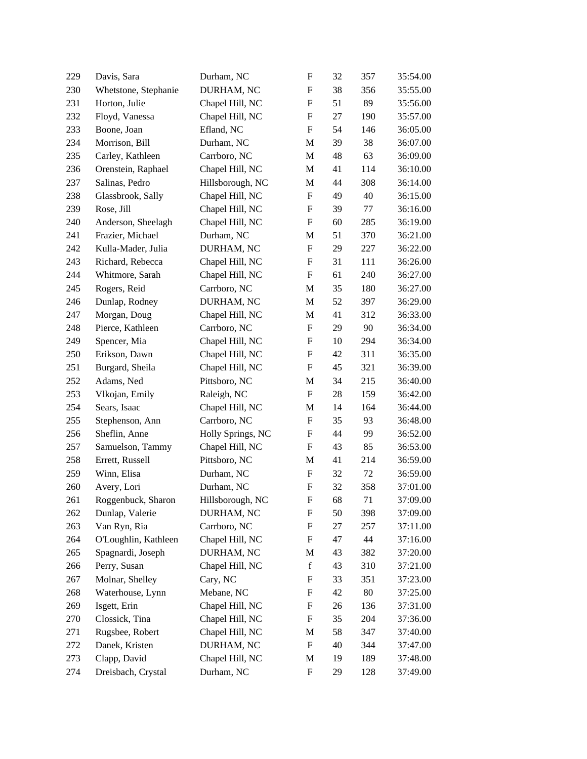| 229 | Davis, Sara          | Durham, NC        | $\boldsymbol{\mathrm{F}}$ | 32 | 357 | 35:54.00 |
|-----|----------------------|-------------------|---------------------------|----|-----|----------|
| 230 | Whetstone, Stephanie | DURHAM, NC        | $\boldsymbol{\mathrm{F}}$ | 38 | 356 | 35:55.00 |
| 231 | Horton, Julie        | Chapel Hill, NC   | $\boldsymbol{\mathrm{F}}$ | 51 | 89  | 35:56.00 |
| 232 | Floyd, Vanessa       | Chapel Hill, NC   | F                         | 27 | 190 | 35:57.00 |
| 233 | Boone, Joan          | Efland, NC        | F                         | 54 | 146 | 36:05.00 |
| 234 | Morrison, Bill       | Durham, NC        | M                         | 39 | 38  | 36:07.00 |
| 235 | Carley, Kathleen     | Carrboro, NC      | $\mathbf M$               | 48 | 63  | 36:09.00 |
| 236 | Orenstein, Raphael   | Chapel Hill, NC   | M                         | 41 | 114 | 36:10.00 |
| 237 | Salinas, Pedro       | Hillsborough, NC  | M                         | 44 | 308 | 36:14.00 |
| 238 | Glassbrook, Sally    | Chapel Hill, NC   | $\boldsymbol{\mathrm{F}}$ | 49 | 40  | 36:15.00 |
| 239 | Rose, Jill           | Chapel Hill, NC   | F                         | 39 | 77  | 36:16.00 |
| 240 | Anderson, Sheelagh   | Chapel Hill, NC   | F                         | 60 | 285 | 36:19.00 |
| 241 | Frazier, Michael     | Durham, NC        | M                         | 51 | 370 | 36:21.00 |
| 242 | Kulla-Mader, Julia   | DURHAM, NC        | $\boldsymbol{\mathrm{F}}$ | 29 | 227 | 36:22.00 |
| 243 | Richard, Rebecca     | Chapel Hill, NC   | F                         | 31 | 111 | 36:26.00 |
| 244 | Whitmore, Sarah      | Chapel Hill, NC   | F                         | 61 | 240 | 36:27.00 |
| 245 | Rogers, Reid         | Carrboro, NC      | M                         | 35 | 180 | 36:27.00 |
| 246 | Dunlap, Rodney       | DURHAM, NC        | M                         | 52 | 397 | 36:29.00 |
| 247 | Morgan, Doug         | Chapel Hill, NC   | M                         | 41 | 312 | 36:33.00 |
| 248 | Pierce, Kathleen     | Carrboro, NC      | $\boldsymbol{\mathrm{F}}$ | 29 | 90  | 36:34.00 |
| 249 | Spencer, Mia         | Chapel Hill, NC   | F                         | 10 | 294 | 36:34.00 |
| 250 | Erikson, Dawn        | Chapel Hill, NC   | F                         | 42 | 311 | 36:35.00 |
| 251 | Burgard, Sheila      | Chapel Hill, NC   | F                         | 45 | 321 | 36:39.00 |
| 252 | Adams, Ned           | Pittsboro, NC     | M                         | 34 | 215 | 36:40.00 |
| 253 | Vlkojan, Emily       | Raleigh, NC       | F                         | 28 | 159 | 36:42.00 |
| 254 | Sears, Isaac         | Chapel Hill, NC   | M                         | 14 | 164 | 36:44.00 |
| 255 | Stephenson, Ann      | Carrboro, NC      | $\boldsymbol{\mathrm{F}}$ | 35 | 93  | 36:48.00 |
| 256 | Sheflin, Anne        | Holly Springs, NC | F                         | 44 | 99  | 36:52.00 |
| 257 | Samuelson, Tammy     | Chapel Hill, NC   | F                         | 43 | 85  | 36:53.00 |
| 258 | Errett, Russell      | Pittsboro, NC     | M                         | 41 | 214 | 36:59.00 |
| 259 | Winn, Elisa          | Durham, NC        | F                         | 32 | 72  | 36:59.00 |
| 260 | Avery, Lori          | Durham, NC        | $\boldsymbol{\mathrm{F}}$ | 32 | 358 | 37:01.00 |
| 261 | Roggenbuck, Sharon   | Hillsborough, NC  | F                         | 68 | 71  | 37:09.00 |
| 262 | Dunlap, Valerie      | DURHAM, NC        | F                         | 50 | 398 | 37:09.00 |
| 263 | Van Ryn, Ria         | Carrboro, NC      | F                         | 27 | 257 | 37:11.00 |
| 264 | O'Loughlin, Kathleen | Chapel Hill, NC   | $\boldsymbol{\mathrm{F}}$ | 47 | 44  | 37:16.00 |
| 265 | Spagnardi, Joseph    | DURHAM, NC        | M                         | 43 | 382 | 37:20.00 |
| 266 | Perry, Susan         | Chapel Hill, NC   | $\mathbf f$               | 43 | 310 | 37:21.00 |
| 267 | Molnar, Shelley      | Cary, NC          | F                         | 33 | 351 | 37:23.00 |
| 268 | Waterhouse, Lynn     | Mebane, NC        | F                         | 42 | 80  | 37:25.00 |
| 269 | Isgett, Erin         | Chapel Hill, NC   | F                         | 26 | 136 | 37:31.00 |
| 270 | Clossick, Tina       | Chapel Hill, NC   | $\boldsymbol{F}$          | 35 | 204 | 37:36.00 |
| 271 | Rugsbee, Robert      | Chapel Hill, NC   | M                         | 58 | 347 | 37:40.00 |
| 272 | Danek, Kristen       | DURHAM, NC        | F                         | 40 | 344 | 37:47.00 |
| 273 | Clapp, David         | Chapel Hill, NC   | M                         | 19 | 189 | 37:48.00 |
| 274 | Dreisbach, Crystal   | Durham, NC        | $\boldsymbol{\mathrm{F}}$ | 29 | 128 | 37:49.00 |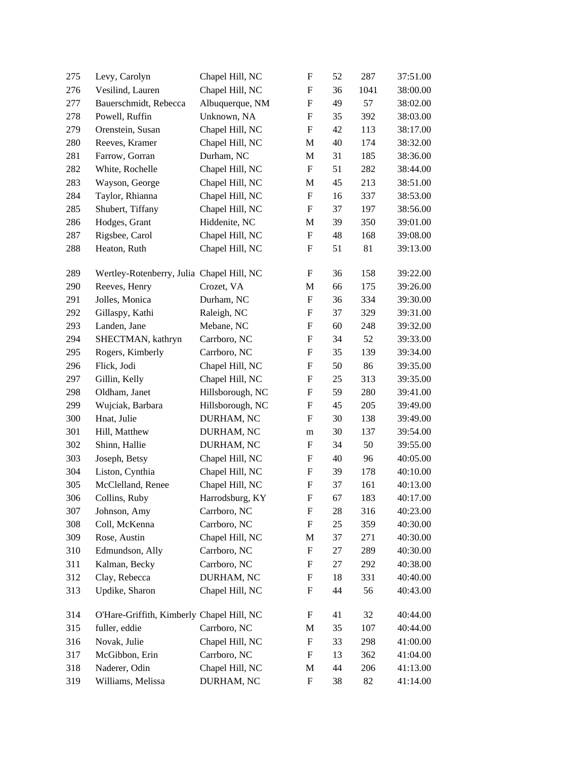| 275 | Levy, Carolyn                             | Chapel Hill, NC  | $\boldsymbol{\mathrm{F}}$ | 52 | 287  | 37:51.00 |
|-----|-------------------------------------------|------------------|---------------------------|----|------|----------|
| 276 | Vesilind, Lauren                          | Chapel Hill, NC  | $\boldsymbol{\mathrm{F}}$ | 36 | 1041 | 38:00.00 |
| 277 | Bauerschmidt, Rebecca                     | Albuquerque, NM  | $\boldsymbol{\mathrm{F}}$ | 49 | 57   | 38:02.00 |
| 278 | Powell, Ruffin                            | Unknown, NA      | $\boldsymbol{\mathrm{F}}$ | 35 | 392  | 38:03.00 |
| 279 | Orenstein, Susan                          | Chapel Hill, NC  | $\boldsymbol{\mathrm{F}}$ | 42 | 113  | 38:17.00 |
| 280 | Reeves, Kramer                            | Chapel Hill, NC  | M                         | 40 | 174  | 38:32.00 |
| 281 | Farrow, Gorran                            | Durham, NC       | $\mathbf M$               | 31 | 185  | 38:36.00 |
| 282 | White, Rochelle                           | Chapel Hill, NC  | $\boldsymbol{\mathrm{F}}$ | 51 | 282  | 38:44.00 |
| 283 | Wayson, George                            | Chapel Hill, NC  | M                         | 45 | 213  | 38:51.00 |
| 284 | Taylor, Rhianna                           | Chapel Hill, NC  | $\boldsymbol{\mathrm{F}}$ | 16 | 337  | 38:53.00 |
| 285 | Shubert, Tiffany                          | Chapel Hill, NC  | $\boldsymbol{F}$          | 37 | 197  | 38:56.00 |
| 286 | Hodges, Grant                             | Hiddenite, NC    | M                         | 39 | 350  | 39:01.00 |
| 287 | Rigsbee, Carol                            | Chapel Hill, NC  | $\boldsymbol{\mathrm{F}}$ | 48 | 168  | 39:08.00 |
| 288 | Heaton, Ruth                              | Chapel Hill, NC  | $\boldsymbol{\mathrm{F}}$ | 51 | 81   | 39:13.00 |
| 289 | Wertley-Rotenberry, Julia Chapel Hill, NC |                  | F                         | 36 | 158  | 39:22.00 |
| 290 | Reeves, Henry                             | Crozet, VA       | M                         | 66 | 175  | 39:26.00 |
| 291 | Jolles, Monica                            | Durham, NC       | $\boldsymbol{\mathrm{F}}$ | 36 | 334  | 39:30.00 |
| 292 | Gillaspy, Kathi                           | Raleigh, NC      | $\boldsymbol{F}$          | 37 | 329  | 39:31.00 |
| 293 | Landen, Jane                              | Mebane, NC       | $\boldsymbol{\mathrm{F}}$ | 60 | 248  | 39:32.00 |
| 294 | SHECTMAN, kathryn                         | Carrboro, NC     | $\boldsymbol{\mathrm{F}}$ | 34 | 52   | 39:33.00 |
| 295 | Rogers, Kimberly                          | Carrboro, NC     | $\boldsymbol{F}$          | 35 | 139  | 39:34.00 |
| 296 | Flick, Jodi                               | Chapel Hill, NC  | $\boldsymbol{\mathrm{F}}$ | 50 | 86   | 39:35.00 |
| 297 | Gillin, Kelly                             | Chapel Hill, NC  | F                         | 25 | 313  | 39:35.00 |
| 298 | Oldham, Janet                             | Hillsborough, NC | $\boldsymbol{\mathrm{F}}$ | 59 | 280  | 39:41.00 |
| 299 | Wujciak, Barbara                          | Hillsborough, NC | $\boldsymbol{\mathrm{F}}$ | 45 | 205  | 39:49.00 |
| 300 | Hnat, Julie                               | DURHAM, NC       | F                         | 30 | 138  | 39:49.00 |
| 301 | Hill, Matthew                             | DURHAM, NC       | m                         | 30 | 137  | 39:54.00 |
| 302 | Shinn, Hallie                             | DURHAM, NC       | F                         | 34 | 50   | 39:55.00 |
| 303 | Joseph, Betsy                             | Chapel Hill, NC  | F                         | 40 | 96   | 40:05.00 |
| 304 | Liston, Cynthia                           | Chapel Hill, NC  | $\boldsymbol{F}$          | 39 | 178  | 40:10.00 |
| 305 | McClelland, Renee                         | Chapel Hill, NC  | $\boldsymbol{\mathrm{F}}$ | 37 | 161  | 40:13.00 |
| 306 | Collins, Ruby                             | Harrodsburg, KY  | F                         | 67 | 183  | 40:17.00 |
| 307 | Johnson, Amy                              | Carrboro, NC     | F                         | 28 | 316  | 40:23.00 |
| 308 | Coll, McKenna                             | Carrboro, NC     | $\boldsymbol{\mathrm{F}}$ | 25 | 359  | 40:30.00 |
| 309 | Rose, Austin                              | Chapel Hill, NC  | M                         | 37 | 271  | 40:30.00 |
| 310 | Edmundson, Ally                           | Carrboro, NC     | $\boldsymbol{F}$          | 27 | 289  | 40:30.00 |
| 311 | Kalman, Becky                             | Carrboro, NC     | $\boldsymbol{\mathrm{F}}$ | 27 | 292  | 40:38.00 |
| 312 | Clay, Rebecca                             | DURHAM, NC       | F                         | 18 | 331  | 40:40.00 |
| 313 | Updike, Sharon                            | Chapel Hill, NC  | F                         | 44 | 56   | 40:43.00 |
| 314 | O'Hare-Griffith, Kimberly Chapel Hill, NC |                  | F                         | 41 | 32   | 40:44.00 |
| 315 | fuller, eddie                             | Carrboro, NC     | M                         | 35 | 107  | 40:44.00 |
| 316 | Novak, Julie                              | Chapel Hill, NC  | $\boldsymbol{F}$          | 33 | 298  | 41:00.00 |
| 317 | McGibbon, Erin                            | Carrboro, NC     | $\boldsymbol{\mathrm{F}}$ | 13 | 362  | 41:04.00 |
| 318 | Naderer, Odin                             | Chapel Hill, NC  | M                         | 44 | 206  | 41:13.00 |
| 319 | Williams, Melissa                         | DURHAM, NC       | $\boldsymbol{F}$          | 38 | 82   | 41:14.00 |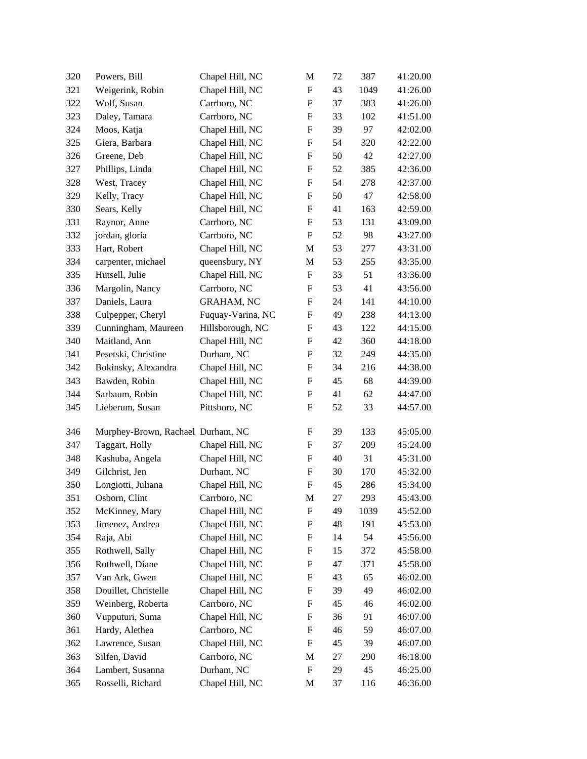| 320        | Powers, Bill                         | Chapel Hill, NC                 | M                              | 72       | 387         | 41:20.00             |
|------------|--------------------------------------|---------------------------------|--------------------------------|----------|-------------|----------------------|
| 321        | Weigerink, Robin                     | Chapel Hill, NC                 | $\boldsymbol{\mathrm{F}}$      | 43       | 1049        | 41:26.00             |
| 322        | Wolf, Susan                          | Carrboro, NC                    | $\boldsymbol{\mathrm{F}}$      | 37       | 383         | 41:26.00             |
| 323        | Daley, Tamara                        | Carrboro, NC                    | $\boldsymbol{\mathrm{F}}$      | 33       | 102         | 41:51.00             |
| 324        | Moos, Katja                          | Chapel Hill, NC                 | $\boldsymbol{\mathrm{F}}$      | 39       | 97          | 42:02.00             |
| 325        | Giera, Barbara                       | Chapel Hill, NC                 | $\boldsymbol{\mathrm{F}}$      | 54       | 320         | 42:22.00             |
| 326        | Greene, Deb                          | Chapel Hill, NC                 | $\boldsymbol{\mathrm{F}}$      | 50       | 42          | 42:27.00             |
| 327        | Phillips, Linda                      | Chapel Hill, NC                 | $\boldsymbol{\mathrm{F}}$      | 52       | 385         | 42:36.00             |
| 328        | West, Tracey                         | Chapel Hill, NC                 | $\boldsymbol{\mathrm{F}}$      | 54       | 278         | 42:37.00             |
| 329        | Kelly, Tracy                         | Chapel Hill, NC                 | $\boldsymbol{\mathrm{F}}$      | 50       | 47          | 42:58.00             |
| 330        | Sears, Kelly                         | Chapel Hill, NC                 | $\boldsymbol{\mathrm{F}}$      | 41       | 163         | 42:59.00             |
| 331        | Raynor, Anne                         | Carrboro, NC                    | F                              | 53       | 131         | 43:09.00             |
| 332        | jordan, gloria                       | Carrboro, NC                    | $\boldsymbol{\mathrm{F}}$      | 52       | 98          | 43:27.00             |
| 333        | Hart, Robert                         | Chapel Hill, NC                 | M                              | 53       | 277         | 43:31.00             |
| 334        | carpenter, michael                   | queensbury, NY                  | M                              | 53       | 255         | 43:35.00             |
| 335        | Hutsell, Julie                       | Chapel Hill, NC                 | $\boldsymbol{\mathrm{F}}$      | 33       | 51          | 43:36.00             |
| 336        | Margolin, Nancy                      | Carrboro, NC                    | $\boldsymbol{\mathrm{F}}$      | 53       | 41          | 43:56.00             |
| 337        | Daniels, Laura                       | <b>GRAHAM, NC</b>               | $\boldsymbol{\mathrm{F}}$      | 24       | 141         | 44:10.00             |
| 338        | Culpepper, Cheryl                    | Fuquay-Varina, NC               | $\boldsymbol{\mathrm{F}}$      | 49       | 238         | 44:13.00             |
| 339        | Cunningham, Maureen                  | Hillsborough, NC                | $\boldsymbol{\mathrm{F}}$      | 43       | 122         | 44:15.00             |
| 340        | Maitland, Ann                        | Chapel Hill, NC                 | $\boldsymbol{\mathrm{F}}$      | 42       | 360         | 44:18.00             |
| 341        | Pesetski, Christine                  | Durham, NC                      | F                              | 32       | 249         | 44:35.00             |
| 342        | Bokinsky, Alexandra                  | Chapel Hill, NC                 | F                              | 34       | 216         | 44:38.00             |
| 343        | Bawden, Robin                        | Chapel Hill, NC                 | $\boldsymbol{\mathrm{F}}$      | 45       | 68          | 44:39.00             |
| 344        | Sarbaum, Robin                       | Chapel Hill, NC                 | $\boldsymbol{\mathrm{F}}$      | 41       | 62          | 44:47.00             |
| 345        | Lieberum, Susan                      | Pittsboro, NC                   | $\boldsymbol{\mathrm{F}}$      | 52       | 33          | 44:57.00             |
|            |                                      |                                 |                                |          |             |                      |
| 346        | Murphey-Brown, Rachael Durham, NC    |                                 | F<br>$\boldsymbol{\mathrm{F}}$ | 39       | 133<br>209  | 45:05.00<br>45:24.00 |
| 347        | Taggart, Holly<br>Kashuba, Angela    | Chapel Hill, NC                 |                                | 37<br>40 | 31          | 45:31.00             |
| 348        |                                      | Chapel Hill, NC                 | F                              |          |             |                      |
| 349<br>350 | Gilchrist, Jen<br>Longiotti, Juliana | Durham, NC                      | F<br>$\boldsymbol{\mathrm{F}}$ | 30<br>45 | 170         | 45:32.00<br>45:34.00 |
|            |                                      | Chapel Hill, NC                 |                                |          | 286         |                      |
| 351<br>352 | Osborn, Clint<br>McKinney, Mary      | Carrboro, NC<br>Chapel Hill, NC | M<br>F                         | 27<br>49 | 293<br>1039 | 45:43.00<br>45:52.00 |
| 353        | Jimenez, Andrea                      | Chapel Hill, NC                 | $\boldsymbol{\mathrm{F}}$      | 48       | 191         | 45:53.00             |
| 354        | Raja, Abi                            | Chapel Hill, NC                 | F                              | 14       | 54          | 45:56.00             |
| 355        | Rothwell, Sally                      | Chapel Hill, NC                 | $\boldsymbol{\mathrm{F}}$      | 15       | 372         | 45:58.00             |
| 356        | Rothwell, Diane                      | Chapel Hill, NC                 | $\boldsymbol{\mathrm{F}}$      | 47       | 371         | 45:58.00             |
| 357        | Van Ark, Gwen                        | Chapel Hill, NC                 | F                              | 43       | 65          | 46:02.00             |
| 358        | Douillet, Christelle                 | Chapel Hill, NC                 | F                              | 39       | 49          | 46:02.00             |
| 359        | Weinberg, Roberta                    | Carrboro, NC                    | F                              | 45       | 46          | 46:02.00             |
| 360        | Vupputuri, Suma                      | Chapel Hill, NC                 | $\boldsymbol{\mathrm{F}}$      | 36       | 91          | 46:07.00             |
| 361        | Hardy, Alethea                       | Carrboro, NC                    | F                              | 46       | 59          | 46:07.00             |
| 362        | Lawrence, Susan                      | Chapel Hill, NC                 | $\boldsymbol{\mathrm{F}}$      | 45       | 39          | 46:07.00             |
| 363        | Silfen, David                        | Carrboro, NC                    | M                              | 27       | 290         | 46:18.00             |
| 364        | Lambert, Susanna                     | Durham, NC                      | $\boldsymbol{F}$               | 29       | 45          | 46:25.00             |
| 365        | Rosselli, Richard                    | Chapel Hill, NC                 | M                              | 37       | 116         | 46:36.00             |
|            |                                      |                                 |                                |          |             |                      |